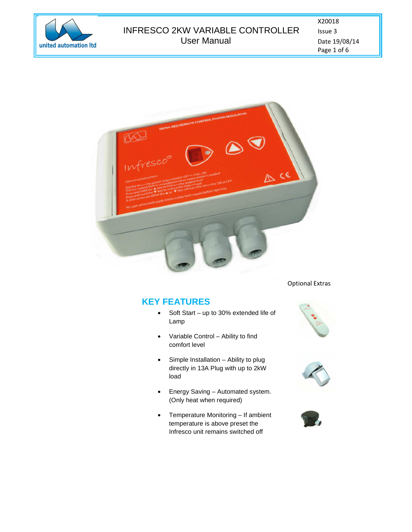

# INFRESCO 2KW VARIABLE CONTROLLER Issue 3 united automation Itd **Example 2018** User Manual Date 19/08/14



# **KEY FEATURES**

- Soft Start up to 30% extended life of Lamp
- Variable Control Ability to find comfort level
- Simple Installation Ability to plug directly in 13A Plug with up to 2kW load
- Energy Saving Automated system. (Only heat when required)
- Temperature Monitoring If ambient temperature is above preset the Infresco unit remains switched off

Optional Extras





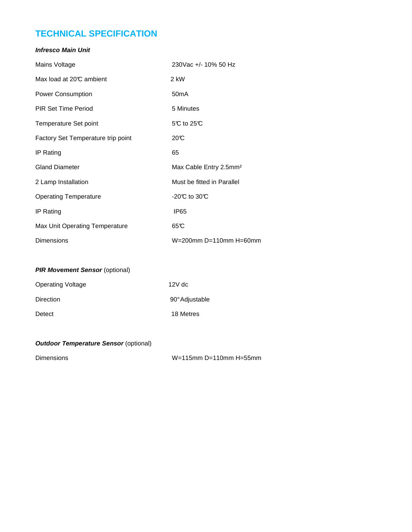# **TECHNICAL SPECIFICATION**

## **Infresco Main Unit**

| Mains Voltage                      | 230Vac +/- 10% 50 Hz               |
|------------------------------------|------------------------------------|
| Max load at 20°C ambient           | 2 kW                               |
| <b>Power Consumption</b>           | 50 <sub>m</sub> A                  |
| <b>PIR Set Time Period</b>         | 5 Minutes                          |
| Temperature Set point              | 5°C to 25°C                        |
| Factory Set Temperature trip point | 20C                                |
| IP Rating                          | 65                                 |
| <b>Gland Diameter</b>              | Max Cable Entry 2.5mm <sup>2</sup> |
| 2 Lamp Installation                | Must be fitted in Parallel         |
| <b>Operating Temperature</b>       | -20℃ to 30℃                        |
| IP Rating                          | IP <sub>65</sub>                   |
| Max Unit Operating Temperature     | 65C                                |
| Dimensions                         | W=200mm D=110mm H=60mm             |

| <b>PIR Movement Sensor (optional)</b> |                |  |
|---------------------------------------|----------------|--|
| Operating Voltage                     | $12V$ dc       |  |
| <b>Direction</b>                      | 90° Adjustable |  |
| Detect                                | 18 Metres      |  |

## **Outdoor Temperature Sensor** (optional)

Dimensions W=115mm D=110mm H=55mm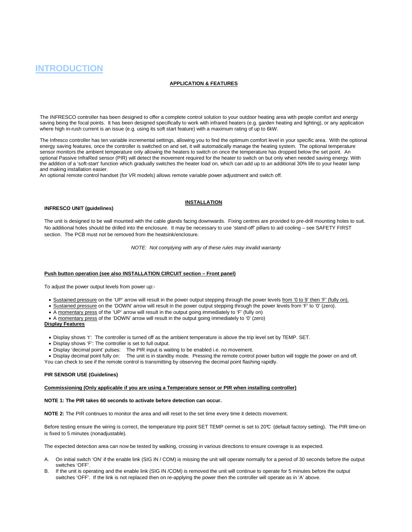# **INTRODUCTION**

### **APPLICATION & FEATURES**

The INFRESCO controller has been designed to offer a complete control solution to your outdoor heating area with people comfort and energy saving being the focal points. It has been designed specifically to work with infrared heaters (e.g. garden heating and lighting), or any application where high in-rush current is an issue (e.g. using its soft start feature) with a maximum rating of up to 6kW.

The Infresco controller has ten variable incremental settings, allowing you to find the optimum comfort level in your specific area. With the optional energy saving features, once the controller is switched on and set, it will automatically manage the heating system. The optional temperature sensor monitors the ambient temperature only allowing the heaters to switch on once the temperature has dropped below the set point. An optional Passive InfraRed sensor (PIR) will detect the movement required for the heater to switch on but only when needed saving energy. With the addition of a 'soft-start' function which gradually switches the heater load on, which can add up to an additional 30% life to your heater lamp and making installation easier.

An optional remote control handset (for VR models) allows remote variable power adjustment and switch off.

#### **INFRESCO UNIT (guidelines)**

### **INSTALLATION**

The unit is designed to be wall mounted with the cable glands facing downwards. Fixing centres are provided to pre-drill mounting holes to suit. No additional holes should be drilled into the enclosure. It may be necessary to use 'stand-off' pillars to aid cooling – see SAFETY FIRST section. The PCB must not be removed from the heatsink/enclosure.

NOTE: Not complying with any of these rules may invalid warranty

### **Push button operation (see also INSTALLATION CIRCUIT section – Front panel)**

To adjust the power output levels from power up:-

- Sustained pressure on the 'UP' arrow will result in the power output stepping through the power levels from '0 to 9' then 'F' (fully on).
- Sustained pressure on the 'DOWN' arrow will result in the power output stepping through the power levels from 'F' to '0' (zero).
- A momentary press of the 'UP' arrow will result in the output going immediately to 'F' (fully on)
- A momentary press of the 'DOWN' arrow will result in the output going immediately to '0' (zero)

### **Display Features**

- Display shows 't': The controller is turned off as the ambient temperature is above the trip level set by TEMP. SET.
- Display shows 'F': The controller is set to full output.
- Display 'decimal point' pulses: The PIR input is waiting to be enabled i.e. no movement.
- Display decimal point fully on: The unit is in standby mode. Pressing the remote control power button will toggle the power on and off.
- You can check to see if the remote control is transmitting by observing the decimal point flashing rapidly.

#### **PIR SENSOR USE (Guidelines)**

### **Commissioning (Only applicable if you are using a Temperature sensor or PIR when installing controller)**

### **NOTE 1: The PIR takes 60 seconds to activate before detection can occur.**

**NOTE 2:** The PIR continues to monitor the area and will reset to the set time every time it detects movement.

Before testing ensure the wiring is correct, the temperature trip point SET TEMP cermet is set to 20°C (default factory setting). The PIR time-on is fixed to 5 minutes (nonadjustable).

The expected detection area can now be tested by walking, crossing in various directions to ensure coverage is as expected.

- A. On initial switch 'ON' if the enable link (SIG IN / COM) is missing the unit will operate normally for a period of 30 seconds before the output switches 'OFF'.
- B. If the unit is operating and the enable link (SIG IN /COM) is removed the unit will continue to operate for 5 minutes before the output switches 'OFF'. If the link is not replaced then on re-applying the power then the controller will operate as in 'A' above.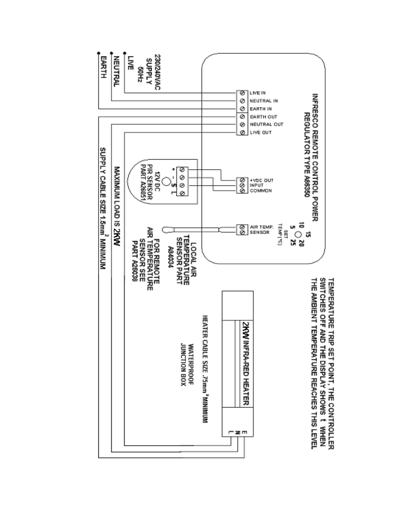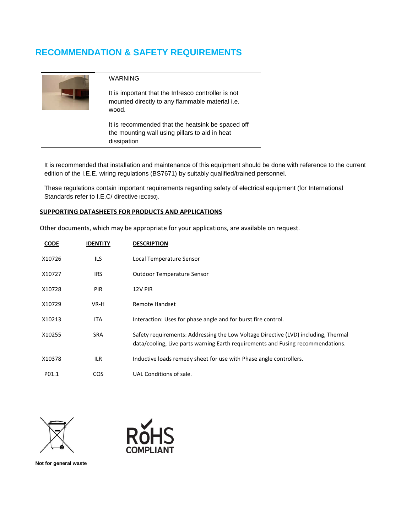# **RECOMMENDATION & SAFETY REQUIREMENTS**

|  | WARNING                                                                                                            |
|--|--------------------------------------------------------------------------------------------------------------------|
|  | It is important that the Infresco controller is not<br>mounted directly to any flammable material i.e.<br>wood.    |
|  | It is recommended that the heatsink be spaced off<br>the mounting wall using pillars to aid in heat<br>dissipation |

It is recommended that installation and maintenance of this equipment should be done with reference to the current edition of the I.E.E. wiring regulations (BS7671) by suitably qualified/trained personnel.

These regulations contain important requirements regarding safety of electrical equipment (for International Standards refer to I.E.C/ directive IEC950).

## SUPPORTING DATASHEETS FOR PRODUCTS AND APPLICATIONS

Other documents, which may be appropriate for your applications, are available on request.

| <b>CODE</b> | <b>IDENTITY</b> | <b>DESCRIPTION</b>                                                                                                                                                    |
|-------------|-----------------|-----------------------------------------------------------------------------------------------------------------------------------------------------------------------|
| X10726      | ILS             | Local Temperature Sensor                                                                                                                                              |
| X10727      | <b>IRS</b>      | <b>Outdoor Temperature Sensor</b>                                                                                                                                     |
| X10728      | <b>PIR</b>      | 12V PIR                                                                                                                                                               |
| X10729      | VR-H            | <b>Remote Handset</b>                                                                                                                                                 |
| X10213      | <b>ITA</b>      | Interaction: Uses for phase angle and for burst fire control.                                                                                                         |
| X10255      | <b>SRA</b>      | Safety requirements: Addressing the Low Voltage Directive (LVD) including, Thermal<br>data/cooling, Live parts warning Earth requirements and Fusing recommendations. |
| X10378      | ILR.            | Inductive loads remedy sheet for use with Phase angle controllers.                                                                                                    |
| P01.1       | <b>COS</b>      | UAL Conditions of sale.                                                                                                                                               |





**Not for general waste**